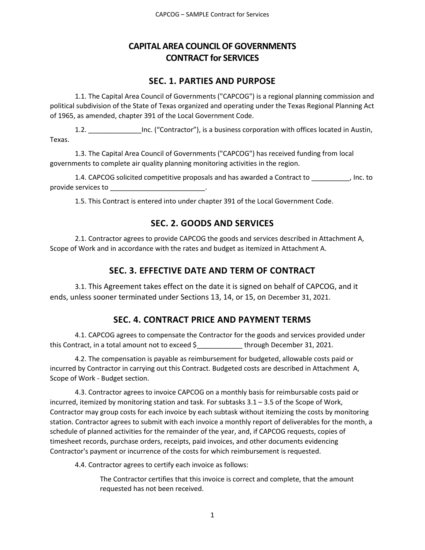## **CAPITAL AREA COUNCIL OF GOVERNMENTS CONTRACT for SERVICES**

### **SEC. 1. PARTIES AND PURPOSE**

1.1. The Capital Area Council of Governments ("CAPCOG") is a regional planning commission and political subdivision of the State of Texas organized and operating under the Texas Regional Planning Act of 1965, as amended, chapter 391 of the Local Government Code.

1.2. \_\_\_\_\_\_\_\_\_\_\_\_\_\_Inc. ("Contractor"), is a business corporation with offices located in Austin, Texas.

1.3. The Capital Area Council of Governments ("CAPCOG") has received funding from local governments to complete air quality planning monitoring activities in the region.

1.4. CAPCOG solicited competitive proposals and has awarded a Contract to \_\_\_\_\_\_\_\_\_\_, Inc. to provide services to **with the services** of  $\sim$ 

1.5. This Contract is entered into under chapter 391 of the Local Government Code.

## **SEC. 2. GOODS AND SERVICES**

2.1. Contractor agrees to provide CAPCOG the goods and services described in Attachment A, Scope of Work and in accordance with the rates and budget as itemized in Attachment A.

## **SEC. 3. EFFECTIVE DATE AND TERM OF CONTRACT**

3.1. This Agreement takes effect on the date it is signed on behalf of CAPCOG, and it ends, unless sooner terminated under Sections 13, 14, or 15, on December 31, 2021.

## **SEC. 4. CONTRACT PRICE AND PAYMENT TERMS**

4.1. CAPCOG agrees to compensate the Contractor for the goods and services provided under this Contract, in a total amount not to exceed \$\_\_\_\_\_\_\_\_\_\_\_\_ through December 31, 2021.

4.2. The compensation is payable as reimbursement for budgeted, allowable costs paid or incurred by Contractor in carrying out this Contract. Budgeted costs are described in Attachment A, Scope of Work - Budget section.

4.3. Contractor agrees to invoice CAPCOG on a monthly basis for reimbursable costs paid or incurred, itemized by monitoring station and task. For subtasks 3.1 – 3.5 of the Scope of Work, Contractor may group costs for each invoice by each subtask without itemizing the costs by monitoring station. Contractor agrees to submit with each invoice a monthly report of deliverables for the month, a schedule of planned activities for the remainder of the year, and, if CAPCOG requests, copies of timesheet records, purchase orders, receipts, paid invoices, and other documents evidencing Contractor's payment or incurrence of the costs for which reimbursement is requested.

4.4. Contractor agrees to certify each invoice as follows:

The Contractor certifies that this invoice is correct and complete, that the amount requested has not been received.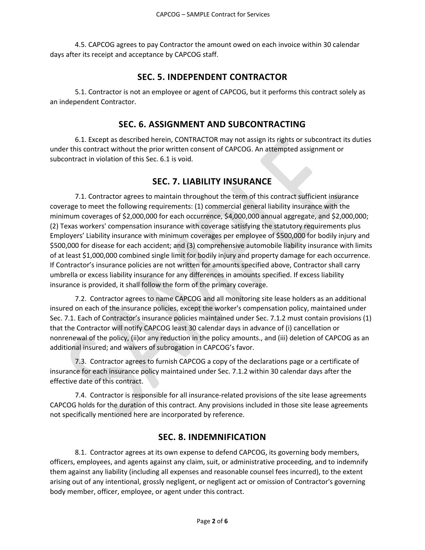4.5. CAPCOG agrees to pay Contractor the amount owed on each invoice within 30 calendar days after its receipt and acceptance by CAPCOG staff.

#### **SEC. 5. INDEPENDENT CONTRACTOR**

5.1. Contractor is not an employee or agent of CAPCOG, but it performs this contract solely as an independent Contractor.

#### **SEC. 6. ASSIGNMENT AND SUBCONTRACTING**

6.1. Except as described herein, CONTRACTOR may not assign its rights or subcontract its duties under this contract without the prior written consent of CAPCOG. An attempted assignment or subcontract in violation of this Sec. 6.1 is void.

### **SEC. 7. LIABILITY INSURANCE**

7.1. Contractor agrees to maintain throughout the term of this contract sufficient insurance coverage to meet the following requirements: (1) commercial general liability insurance with the minimum coverages of \$2,000,000 for each occurrence, \$4,000,000 annual aggregate, and \$2,000,000; (2) Texas workers' compensation insurance with coverage satisfying the statutory requirements plus Employers' Liability insurance with minimum coverages per employee of \$500,000 for bodily injury and \$500,000 for disease for each accident; and (3) comprehensive automobile liability insurance with limits of at least \$1,000,000 combined single limit for bodily injury and property damage for each occurrence. If Contractor's insurance policies are not written for amounts specified above, Contractor shall carry umbrella or excess liability insurance for any differences in amounts specified. If excess liability insurance is provided, it shall follow the form of the primary coverage.

7.2. Contractor agrees to name CAPCOG and all monitoring site lease holders as an additional insured on each of the insurance policies, except the worker's compensation policy, maintained under Sec. 7.1. Each of Contractor's insurance policies maintained under Sec. 7.1.2 must contain provisions (1) that the Contractor will notify CAPCOG least 30 calendar days in advance of (i) cancellation or nonrenewal of the policy, (ii)or any reduction in the policy amounts., and (iii) deletion of CAPCOG as an additional insured; and waivers of subrogation in CAPCOG's favor.

7.3. Contractor agrees to furnish CAPCOG a copy of the declarations page or a certificate of insurance for each insurance policy maintained under Sec. 7.1.2 within 30 calendar days after the effective date of this contract.

7.4. Contractor is responsible for all insurance-related provisions of the site lease agreements CAPCOG holds for the duration of this contract. Any provisions included in those site lease agreements not specifically mentioned here are incorporated by reference.

### **SEC. 8. INDEMNIFICATION**

8.1. Contractor agrees at its own expense to defend CAPCOG, its governing body members, officers, employees, and agents against any claim, suit, or administrative proceeding, and to indemnify them against any liability (including all expenses and reasonable counsel fees incurred), to the extent arising out of any intentional, grossly negligent, or negligent act or omission of Contractor's governing body member, officer, employee, or agent under this contract.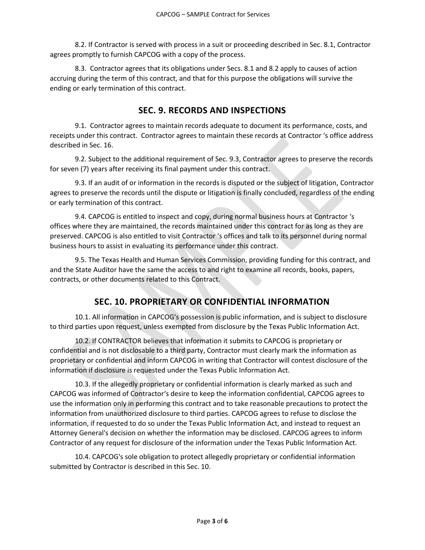8.2. If Contractor is served with process in a suit or proceeding described in Sec. 8.1, Contractor agrees promptly to furnish CAPCOG with a copy of the process.

8.3. Contractor agrees that its obligations under Secs. 8.1 and 8.2 apply to causes of action accruing during the term of this contract, and that for this purpose the obligations will survive the ending or early termination of this contract.

### **SEC. 9. RECORDS AND INSPECTIONS**

9.1. Contractor agrees to maintain records adequate to document its performance, costs, and receipts under this contract. Contractor agrees to maintain these records at Contractor 's office address described in Sec. 16.

9.2. Subject to the additional requirement of Sec. 9.3, Contractor agrees to preserve the records for seven (7) years after receiving its final payment under this contract.

9.3. If an audit of or information in the records is disputed or the subject of litigation, Contractor agrees to preserve the records until the dispute or litigation is finally concluded, regardless of the ending or early termination of this contract.

9.4. CAPCOG is entitled to inspect and copy, during normal business hours at Contractor 's offices where they are maintained, the records maintained under this contract for as long as they are preserved. CAPCOG is also entitled to visit Contractor 's offices and talk to its personnel during normal business hours to assist in evaluating its performance under this contract.

9.5. The Texas Health and Human Services Commission, providing funding for this contract, and and the State Auditor have the same the access to and right to examine all records, books, papers, contracts, or other documents related to this Contract.

## **SEC. 10. PROPRIETARY OR CONFIDENTIAL INFORMATION**

10.1. All information in CAPCOG's possession is public information, and is subject to disclosure to third parties upon request, unless exempted from disclosure by the Texas Public Information Act.

10.2. If CONTRACTOR believes that information it submits to CAPCOG is proprietary or confidential and is not disclosable to a third party, Contractor must clearly mark the information as proprietary or confidential and inform CAPCOG in writing that Contractor will contest disclosure of the information if disclosure is requested under the Texas Public Information Act.

10.3. If the allegedly proprietary or confidential information is clearly marked as such and CAPCOG was informed of Contractor's desire to keep the information confidential, CAPCOG agrees to use the information only in performing this contract and to take reasonable precautions to protect the information from unauthorized disclosure to third parties. CAPCOG agrees to refuse to disclose the information, if requested to do so under the Texas Public Information Act, and instead to request an Attorney General's decision on whether the information may be disclosed. CAPCOG agrees to inform Contractor of any request for disclosure of the information under the Texas Public Information Act.

10.4. CAPCOG's sole obligation to protect allegedly proprietary or confidential information submitted by Contractor is described in this Sec. 10.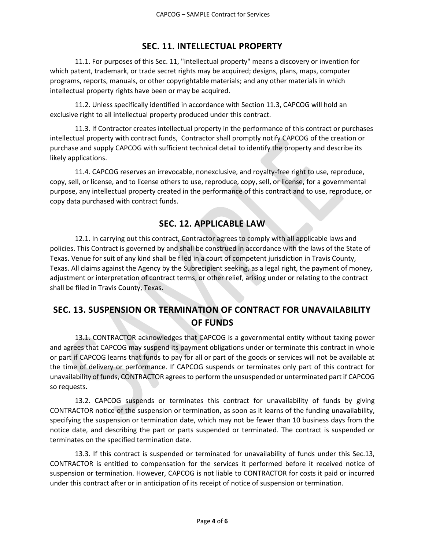#### **SEC. 11. INTELLECTUAL PROPERTY**

11.1. For purposes of this Sec. 11, "intellectual property" means a discovery or invention for which patent, trademark, or trade secret rights may be acquired; designs, plans, maps, computer programs, reports, manuals, or other copyrightable materials; and any other materials in which intellectual property rights have been or may be acquired.

11.2. Unless specifically identified in accordance with Section 11.3, CAPCOG will hold an exclusive right to all intellectual property produced under this contract.

11.3. If Contractor creates intellectual property in the performance of this contract or purchases intellectual property with contract funds, Contractor shall promptly notify CAPCOG of the creation or purchase and supply CAPCOG with sufficient technical detail to identify the property and describe its likely applications.

11.4. CAPCOG reserves an irrevocable, nonexclusive, and royalty-free right to use, reproduce, copy, sell, or license, and to license others to use, reproduce, copy, sell, or license, for a governmental purpose, any intellectual property created in the performance of this contract and to use, reproduce, or copy data purchased with contract funds.

### **SEC. 12. APPLICABLE LAW**

12.1. In carrying out this contract, Contractor agrees to comply with all applicable laws and policies. This Contract is governed by and shall be construed in accordance with the laws of the State of Texas. Venue for suit of any kind shall be filed in a court of competent jurisdiction in Travis County, Texas. All claims against the Agency by the Subrecipient seeking, as a legal right, the payment of money, adjustment or interpretation of contract terms, or other relief, arising under or relating to the contract shall be filed in Travis County, Texas.

## **SEC. 13. SUSPENSION OR TERMINATION OF CONTRACT FOR UNAVAILABILITY OF FUNDS**

13.1. CONTRACTOR acknowledges that CAPCOG is a governmental entity without taxing power and agrees that CAPCOG may suspend its payment obligations under or terminate this contract in whole or part if CAPCOG learns that funds to pay for all or part of the goods or services will not be available at the time of delivery or performance. If CAPCOG suspends or terminates only part of this contract for unavailability of funds, CONTRACTOR agrees to perform the unsuspended or unterminated part if CAPCOG so requests.

13.2. CAPCOG suspends or terminates this contract for unavailability of funds by giving CONTRACTOR notice of the suspension or termination, as soon as it learns of the funding unavailability, specifying the suspension or termination date, which may not be fewer than 10 business days from the notice date, and describing the part or parts suspended or terminated. The contract is suspended or terminates on the specified termination date.

13.3. If this contract is suspended or terminated for unavailability of funds under this Sec.13, CONTRACTOR is entitled to compensation for the services it performed before it received notice of suspension or termination. However, CAPCOG is not liable to CONTRACTOR for costs it paid or incurred under this contract after or in anticipation of its receipt of notice of suspension or termination.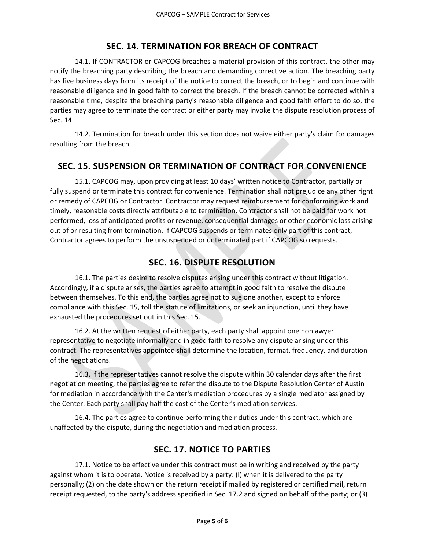### **SEC. 14. TERMINATION FOR BREACH OF CONTRACT**

14.1. If CONTRACTOR or CAPCOG breaches a material provision of this contract, the other may notify the breaching party describing the breach and demanding corrective action. The breaching party has five business days from its receipt of the notice to correct the breach, or to begin and continue with reasonable diligence and in good faith to correct the breach. If the breach cannot be corrected within a reasonable time, despite the breaching party's reasonable diligence and good faith effort to do so, the parties may agree to terminate the contract or either party may invoke the dispute resolution process of Sec. 14.

14.2. Termination for breach under this section does not waive either party's claim for damages resulting from the breach.

## **SEC. 15. SUSPENSION OR TERMINATION OF CONTRACT FOR CONVENIENCE**

15.1. CAPCOG may, upon providing at least 10 days' written notice to Contractor, partially or fully suspend or terminate this contract for convenience. Termination shall not prejudice any other right or remedy of CAPCOG or Contractor. Contractor may request reimbursement for conforming work and timely, reasonable costs directly attributable to termination. Contractor shall not be paid for work not performed, loss of anticipated profits or revenue, consequential damages or other economic loss arising out of or resulting from termination. If CAPCOG suspends or terminates only part of this contract, Contractor agrees to perform the unsuspended or unterminated part if CAPCOG so requests.

# **SEC. 16. DISPUTE RESOLUTION**

16.1. The parties desire to resolve disputes arising under this contract without litigation. Accordingly, if a dispute arises, the parties agree to attempt in good faith to resolve the dispute between themselves. To this end, the parties agree not to sue one another, except to enforce compliance with this Sec. 15, toll the statute of limitations, or seek an injunction, until they have exhausted the procedures set out in this Sec. 15.

16.2. At the written request of either party, each party shall appoint one nonlawyer representative to negotiate informally and in good faith to resolve any dispute arising under this contract. The representatives appointed shall determine the location, format, frequency, and duration of the negotiations.

16.3. If the representatives cannot resolve the dispute within 30 calendar days after the first negotiation meeting, the parties agree to refer the dispute to the Dispute Resolution Center of Austin for mediation in accordance with the Center's mediation procedures by a single mediator assigned by the Center. Each party shall pay half the cost of the Center's mediation services.

16.4. The parties agree to continue performing their duties under this contract, which are unaffected by the dispute, during the negotiation and mediation process.

## **SEC. 17. NOTICE TO PARTIES**

17.1. Notice to be effective under this contract must be in writing and received by the party against whom it is to operate. Notice is received by a party: (l) when it is delivered to the party personally; (2) on the date shown on the return receipt if mailed by registered or certified mail, return receipt requested, to the party's address specified in Sec. 17.2 and signed on behalf of the party; or (3)